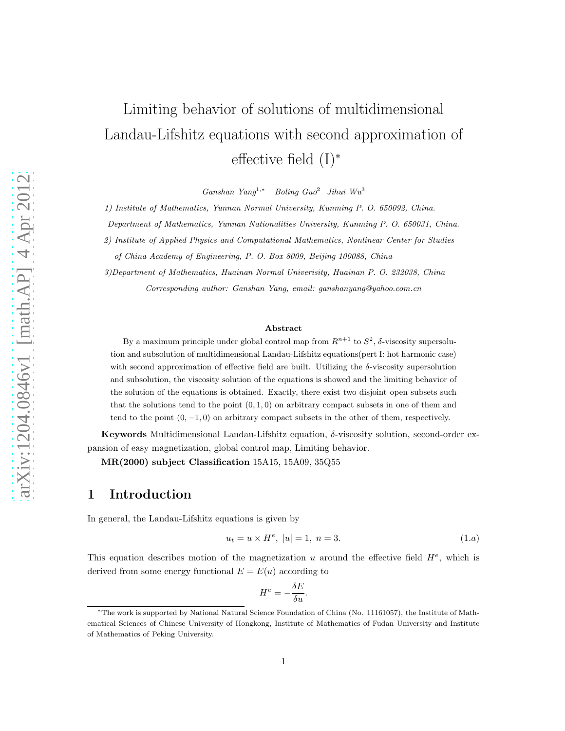# Limiting behavior of solutions of multidimensional Landau-Lifshitz equations with second approximation of effective field (I)<sup>∗</sup>

*Ganshan Yang*<sup>1</sup>,<sup>∗</sup> *Boling Guo*<sup>2</sup> *Jihui Wu*<sup>3</sup>

*1) Institute of Mathematics, Yunnan Normal University, Kunming P. O. 650092, China.*

*Department of Mathematics, Yunnan Nationalities University, Kunming P. O. 650031, China.*

*2) Institute of Applied Physics and Computational Mathematics, Nonlinear Center for Studies*

*of China Academy of Engineering, P. O. Box 8009, Beijing 100088, China*

*3)Department of Mathematics, Huainan Normal Univerisity, Huainan P. O. 232038, China Corresponding author: Ganshan Yang, email: ganshanyang@yahoo.com.cn*

#### Abstract

By a maximum principle under global control map from  $R^{n+1}$  to  $S^2$ ,  $\delta$ -viscosity supersolution and subsolution of multidimensional Landau-Lifshitz equations(pert I: hot harmonic case) with second approximation of effective field are built. Utilizing the  $\delta$ -viscosity supersolution and subsolution, the viscosity solution of the equations is showed and the limiting behavior of the solution of the equations is obtained. Exactly, there exist two disjoint open subsets such that the solutions tend to the point  $(0, 1, 0)$  on arbitrary compact subsets in one of them and tend to the point  $(0, -1, 0)$  on arbitrary compact subsets in the other of them, respectively.

Keywords Multidimensional Landau-Lifshitz equation, δ-viscosity solution, second-order expansion of easy magnetization, global control map, Limiting behavior.

MR(2000) subject Classification 15A15, 15A09, 35Q55

#### 1 Introduction

In general, the Landau-Lifshitz equations is given by

$$
u_t = u \times H^e, \ |u| = 1, \ n = 3. \tag{1.2}
$$

This equation describes motion of the magnetization u around the effective field  $H^e$ , which is derived from some energy functional  $E = E(u)$  according to

$$
H^e = -\frac{\delta E}{\delta u}.
$$

<sup>∗</sup>The work is supported by National Natural Science Foundation of China (No. 11161057), the Institute of Mathematical Sciences of Chinese University of Hongkong, Institute of Mathematics of Fudan University and Institute of Mathematics of Peking University.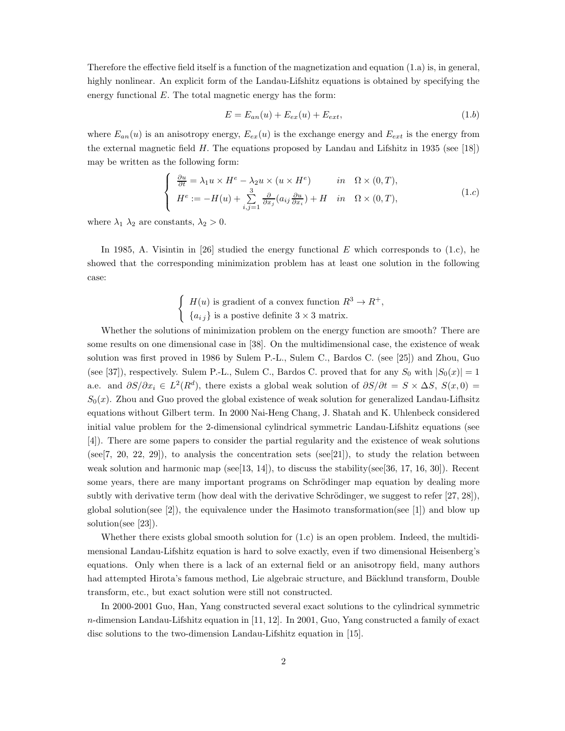Therefore the effective field itself is a function of the magnetization and equation (1.a) is, in general, highly nonlinear. An explicit form of the Landau-Lifshitz equations is obtained by specifying the energy functional  $E$ . The total magnetic energy has the form:

$$
E = E_{an}(u) + E_{ex}(u) + E_{ext}, \qquad (1.b)
$$

where  $E_{an}(u)$  is an anisotropy energy,  $E_{ex}(u)$  is the exchange energy and  $E_{ext}$  is the energy from the external magnetic field H. The equations proposed by Landau and Lifshitz in 1935 (see [18]) may be written as the following form:

$$
\begin{cases}\n\frac{\partial u}{\partial t} = \lambda_1 u \times H^e - \lambda_2 u \times (u \times H^e) & \text{in } \Omega \times (0, T), \\
H^e := -H(u) + \sum_{i,j=1}^3 \frac{\partial}{\partial x_j} (a_{ij} \frac{\partial u}{\partial x_i}) + H & \text{in } \Omega \times (0, T),\n\end{cases}
$$
\n(1.c)

where  $\lambda_1$   $\lambda_2$  are constants,  $\lambda_2 > 0$ .

In 1985, A. Visintin in [26] studied the energy functional  $E$  which corresponds to (1.c), he showed that the corresponding minimization problem has at least one solution in the following case:

$$
\begin{cases}\nH(u) \text{ is gradient of a convex function } R^3 \to R^+, \\
a_{ij}\} \text{ is a positive definite } 3 \times 3 \text{ matrix.} \n\end{cases}
$$

Whether the solutions of minimization problem on the energy function are smooth? There are some results on one dimensional case in [38]. On the multidimensional case, the existence of weak solution was first proved in 1986 by Sulem P.-L., Sulem C., Bardos C. (see [25]) and Zhou, Guo (see [37]), respectively. Sulem P.-L., Sulem C., Bardos C. proved that for any  $S_0$  with  $|S_0(x)| = 1$ a.e. and  $\partial S/\partial x_i \in L^2(R^d)$ , there exists a global weak solution of  $\partial S/\partial t = S \times \Delta S$ ,  $S(x,0) =$  $S_0(x)$ . Zhou and Guo proved the global existence of weak solution for generalized Landau-Lifhsitz equations without Gilbert term. In 2000 Nai-Heng Chang, J. Shatah and K. Uhlenbeck considered initial value problem for the 2-dimensional cylindrical symmetric Landau-Lifshitz equations (see [4]). There are some papers to consider the partial regularity and the existence of weak solutions (see  $[7, 20, 22, 29]$ ), to analysis the concentration sets (see  $[21]$ ), to study the relation between weak solution and harmonic map ( $\text{see} [13, 14]$ ), to discuss the stability( $\text{see} [36, 17, 16, 30]$ ). Recent some years, there are many important programs on Schrödinger map equation by dealing more subtly with derivative term (how deal with the derivative Schrödinger, we suggest to refer  $[27, 28]$ ), global solution(see [2]), the equivalence under the Hasimoto transformation(see [1]) and blow up solution(see [23]).

Whether there exists global smooth solution for  $(1.c)$  is an open problem. Indeed, the multidimensional Landau-Lifshitz equation is hard to solve exactly, even if two dimensional Heisenberg's equations. Only when there is a lack of an external field or an anisotropy field, many authors had attempted Hirota's famous method, Lie algebraic structure, and Bäcklund transform, Double transform, etc., but exact solution were still not constructed.

In 2000-2001 Guo, Han, Yang constructed several exact solutions to the cylindrical symmetric n-dimension Landau-Lifshitz equation in [11, 12]. In 2001, Guo, Yang constructed a family of exact disc solutions to the two-dimension Landau-Lifshitz equation in [15].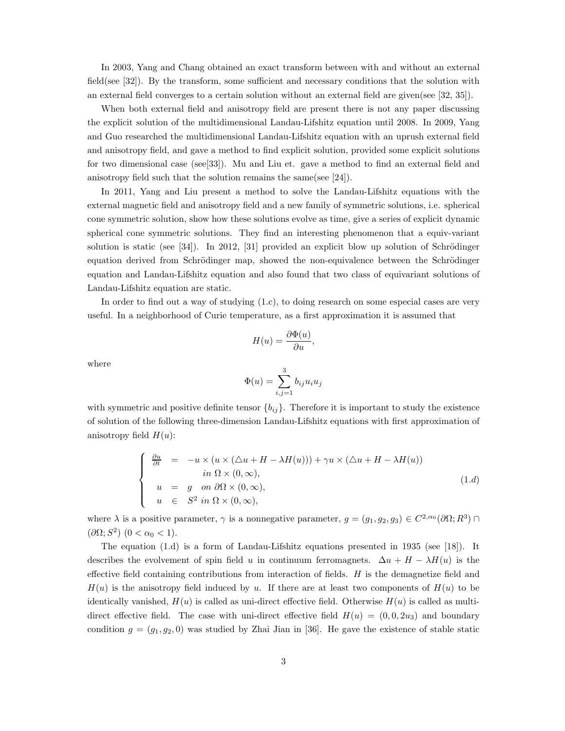In 2003, Yang and Chang obtained an exact transform between with and without an external field(see [32]). By the transform, some sufficient and necessary conditions that the solution with an external field converges to a certain solution without an external field are given(see [32, 35]).

When both external field and anisotropy field are present there is not any paper discussing the explicit solution of the multidimensional Landau-Lifshitz equation until 2008. In 2009, Yang and Guo researched the multidimensional Landau-Lifshitz equation with an uprush external field and anisotropy field, and gave a method to find explicit solution, provided some explicit solutions for two dimensional case (see[33]). Mu and Liu et. gave a method to find an external field and anisotropy field such that the solution remains the same(see [24]).

In 2011, Yang and Liu present a method to solve the Landau-Lifshitz equations with the external magnetic field and anisotropy field and a new family of symmetric solutions, i.e. spherical cone symmetric solution, show how these solutions evolve as time, give a series of explicit dynamic spherical cone symmetric solutions. They find an interesting phenomenon that a equiv-variant solution is static (see [34]). In 2012, [31] provided an explicit blow up solution of Schrödinger equation derived from Schrödinger map, showed the non-equivalence between the Schrödinger equation and Landau-Lifshitz equation and also found that two class of equivariant solutions of Landau-Lifshitz equation are static.

In order to find out a way of studying (1.c), to doing research on some especial cases are very useful. In a neighborhood of Curie temperature, as a first approximation it is assumed that

$$
H(u) = \frac{\partial \Phi(u)}{\partial u},
$$

where

$$
\Phi(u) = \sum_{i,j=1}^3 b_{ij} u_i u_j
$$

with symmetric and positive definite tensor  $\{b_{ij}\}$ . Therefore it is important to study the existence of solution of the following three-dimension Landau-Lifshitz equations with first approximation of anisotropy field  $H(u)$ :

$$
\begin{cases}\n\frac{\partial u}{\partial t} = -u \times (u \times (\Delta u + H - \lambda H(u))) + \gamma u \times (\Delta u + H - \lambda H(u)) \\
\qquad in \ \Omega \times (0, \infty), \\
u = g \quad on \ \partial \Omega \times (0, \infty), \\
u \in S^2 \ in \ \Omega \times (0, \infty),\n\end{cases} (1.d)
$$

where  $\lambda$  is a positive parameter,  $\gamma$  is a nonnegative parameter,  $g = (g_1, g_2, g_3) \in C^{2,\alpha_0}(\partial\Omega; R^3) \cap$  $(\partial\Omega; S^2)$   $(0 < \alpha_0 < 1)$ .

The equation (1.d) is a form of Landau-Lifshitz equations presented in 1935 (see [18]). It describes the evolvement of spin field u in continuum ferromagnets.  $\Delta u + H - \lambda H(u)$  is the effective field containing contributions from interaction of fields.  $H$  is the demagnetize field and  $H(u)$  is the anisotropy field induced by u. If there are at least two components of  $H(u)$  to be identically vanished,  $H(u)$  is called as uni-direct effective field. Otherwise  $H(u)$  is called as multidirect effective field. The case with uni-direct effective field  $H(u) = (0,0,2u_3)$  and boundary condition  $g = (g_1, g_2, 0)$  was studied by Zhai Jian in [36]. He gave the existence of stable static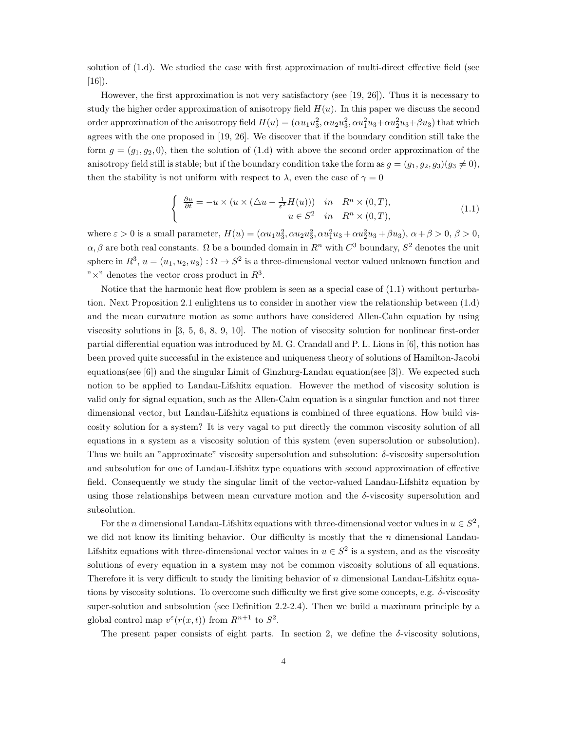solution of (1.d). We studied the case with first approximation of multi-direct effective field (see  $[16]$ ).

However, the first approximation is not very satisfactory (see [19, 26]). Thus it is necessary to study the higher order approximation of anisotropy field  $H(u)$ . In this paper we discuss the second order approximation of the anisotropy field  $H(u) = (\alpha u_1 u_3^2, \alpha u_2 u_3^2, \alpha u_1^2 u_3 + \alpha u_2^2 u_3 + \beta u_3)$  that which agrees with the one proposed in [19, 26]. We discover that if the boundary condition still take the form  $g = (g_1, g_2, 0)$ , then the solution of (1.d) with above the second order approximation of the anisotropy field still is stable; but if the boundary condition take the form as  $q = (q_1, q_2, q_3)(q_3 \neq 0)$ , then the stability is not uniform with respect to  $\lambda$ , even the case of  $\gamma = 0$ 

$$
\begin{cases} \frac{\partial u}{\partial t} = -u \times (u \times (\triangle u - \frac{1}{\varepsilon^2} H(u))) & \text{in} \quad R^n \times (0, T), \\ u \in S^2 & \text{in} \quad R^n \times (0, T), \end{cases}
$$
(1.1)

where  $\varepsilon > 0$  is a small parameter,  $H(u) = (\alpha u_1 u_3^2, \alpha u_2 u_3^2, \alpha u_1^2 u_3 + \alpha u_2^2 u_3 + \beta u_3), \alpha + \beta > 0, \beta > 0$ ,  $\alpha, \beta$  are both real constants.  $\Omega$  be a bounded domain in  $R<sup>n</sup>$  with  $C<sup>3</sup>$  boundary,  $S<sup>2</sup>$  denotes the unit sphere in  $R^3$ ,  $u = (u_1, u_2, u_3) : \Omega \to S^2$  is a three-dimensional vector valued unknown function and " $\times$ " denotes the vector cross product in  $R^3$ .

Notice that the harmonic heat flow problem is seen as a special case of (1.1) without perturbation. Next Proposition 2.1 enlightens us to consider in another view the relationship between (1.d) and the mean curvature motion as some authors have considered Allen-Cahn equation by using viscosity solutions in [3, 5, 6, 8, 9, 10]. The notion of viscosity solution for nonlinear first-order partial differential equation was introduced by M. G. Crandall and P. L. Lions in [6], this notion has been proved quite successful in the existence and uniqueness theory of solutions of Hamilton-Jacobi equations(see  $[6]$ ) and the singular Limit of Ginzhurg-Landau equation(see  $[3]$ ). We expected such notion to be applied to Landau-Lifshitz equation. However the method of viscosity solution is valid only for signal equation, such as the Allen-Cahn equation is a singular function and not three dimensional vector, but Landau-Lifshitz equations is combined of three equations. How build viscosity solution for a system? It is very vagal to put directly the common viscosity solution of all equations in a system as a viscosity solution of this system (even supersolution or subsolution). Thus we built an "approximate" viscosity supersolution and subsolution:  $\delta$ -viscosity supersolution and subsolution for one of Landau-Lifshitz type equations with second approximation of effective field. Consequently we study the singular limit of the vector-valued Landau-Lifshitz equation by using those relationships between mean curvature motion and the δ-viscosity supersolution and subsolution.

For the *n* dimensional Landau-Lifshitz equations with three-dimensional vector values in  $u \in S^2$ , we did not know its limiting behavior. Our difficulty is mostly that the  $n$  dimensional Landau-Lifshitz equations with three-dimensional vector values in  $u \in S^2$  is a system, and as the viscosity solutions of every equation in a system may not be common viscosity solutions of all equations. Therefore it is very difficult to study the limiting behavior of n dimensional Landau-Lifshitz equations by viscosity solutions. To overcome such difficulty we first give some concepts, e.g. δ-viscosity super-solution and subsolution (see Definition 2.2-2.4). Then we build a maximum principle by a global control map  $v^{\varepsilon}(r(x,t))$  from  $R^{n+1}$  to  $S^2$ .

The present paper consists of eight parts. In section 2, we define the  $\delta$ -viscosity solutions,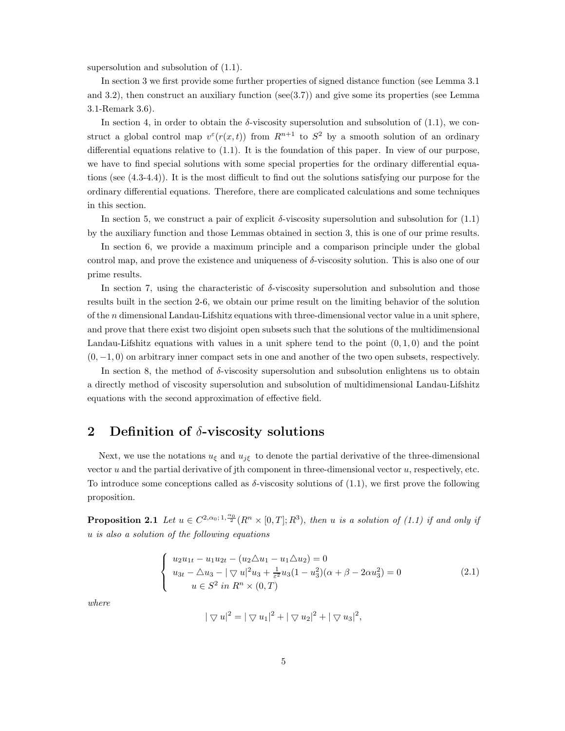supersolution and subsolution of (1.1).

In section 3 we first provide some further properties of signed distance function (see Lemma 3.1 and 3.2), then construct an auxiliary function ( $\sec(3.7)$ ) and give some its properties (see Lemma 3.1-Remark 3.6).

In section 4, in order to obtain the  $\delta$ -viscosity supersolution and subsolution of (1.1), we construct a global control map  $v^{\epsilon}(r(x,t))$  from  $R^{n+1}$  to  $S^2$  by a smooth solution of an ordinary differential equations relative to (1.1). It is the foundation of this paper. In view of our purpose, we have to find special solutions with some special properties for the ordinary differential equations (see (4.3-4.4)). It is the most difficult to find out the solutions satisfying our purpose for the ordinary differential equations. Therefore, there are complicated calculations and some techniques in this section.

In section 5, we construct a pair of explicit  $\delta$ -viscosity supersolution and subsolution for (1.1) by the auxiliary function and those Lemmas obtained in section 3, this is one of our prime results.

In section 6, we provide a maximum principle and a comparison principle under the global control map, and prove the existence and uniqueness of  $\delta$ -viscosity solution. This is also one of our prime results.

In section 7, using the characteristic of δ-viscosity supersolution and subsolution and those results built in the section 2-6, we obtain our prime result on the limiting behavior of the solution of the n dimensional Landau-Lifshitz equations with three-dimensional vector value in a unit sphere, and prove that there exist two disjoint open subsets such that the solutions of the multidimensional Landau-Lifshitz equations with values in a unit sphere tend to the point  $(0, 1, 0)$  and the point  $(0, -1, 0)$  on arbitrary inner compact sets in one and another of the two open subsets, respectively.

In section 8, the method of  $\delta$ -viscosity supersolution and subsolution enlightens us to obtain a directly method of viscosity supersolution and subsolution of multidimensional Landau-Lifshitz equations with the second approximation of effective field.

#### 2 Definition of  $\delta$ -viscosity solutions

Next, we use the notations  $u_{\xi}$  and  $u_{j\xi}$  to denote the partial derivative of the three-dimensional vector  $u$  and the partial derivative of jth component in three-dimensional vector  $u$ , respectively, etc. To introduce some conceptions called as  $\delta$ -viscosity solutions of (1.1), we first prove the following proposition.

**Proposition 2.1** Let  $u \in C^{2,\alpha_0;1,\frac{\alpha_0}{2}}(R^n \times [0,T];R^3)$ , then u is a solution of (1.1) if and only if u is also a solution of the following equations

$$
\begin{cases}\nu_2 u_{1t} - u_1 u_{2t} - (u_2 \Delta u_1 - u_1 \Delta u_2) = 0 \\
u_{3t} - \Delta u_3 - |\nabla u|^2 u_3 + \frac{1}{\varepsilon^2} u_3 (1 - u_3^2)(\alpha + \beta - 2\alpha u_3^2) = 0 \\
u \in S^2 \text{ in } R^n \times (0, T)\n\end{cases} \tag{2.1}
$$

where

$$
|\nabla u|^2 = |\nabla u_1|^2 + |\nabla u_2|^2 + |\nabla u_3|^2,
$$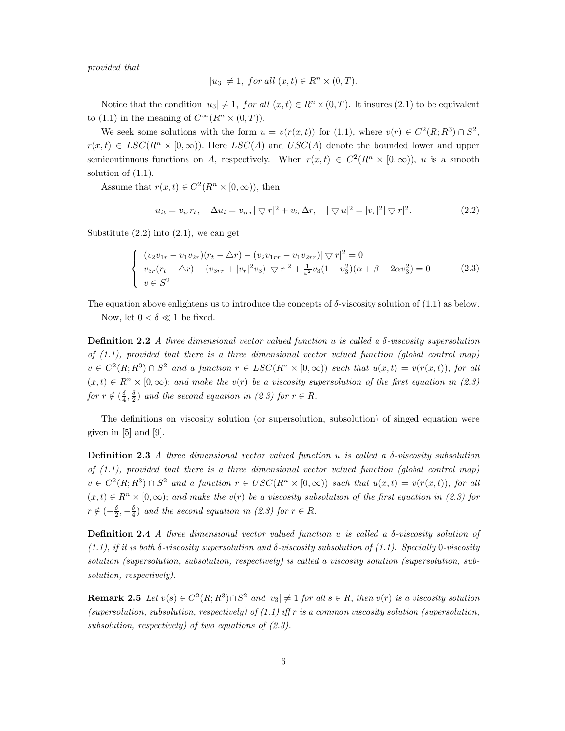provided that

$$
|u_3| \neq 1, \text{ for all } (x, t) \in R^n \times (0, T).
$$

Notice that the condition  $|u_3| \neq 1$ , for all  $(x, t) \in R^n \times (0, T)$ . It insures (2.1) to be equivalent to (1.1) in the meaning of  $C^{\infty}(R^n \times (0,T))$ .

We seek some solutions with the form  $u = v(r(x,t))$  for (1.1), where  $v(r) \in C^2(R; R^3) \cap S^2$ ,  $r(x, t) \in LSC(R<sup>n</sup> \times [0, \infty))$ . Here  $LSC(A)$  and  $USC(A)$  denote the bounded lower and upper semicontinuous functions on A, respectively. When  $r(x,t) \in C^2(R^n \times [0,\infty))$ , u is a smooth solution of (1.1).

Assume that  $r(x,t) \in C^2(R^n \times [0,\infty))$ , then

$$
u_{it} = v_{ir}r_t, \quad \Delta u_i = v_{irr} |\nabla r|^2 + v_{ir}\Delta r, \quad |\nabla u|^2 = |v_r|^2 |\nabla r|^2. \tag{2.2}
$$

Substitute  $(2.2)$  into  $(2.1)$ , we can get

$$
\begin{cases}\n(v_2v_{1r} - v_1v_{2r})(r_t - \Delta r) - (v_2v_{1rr} - v_1v_{2rr})|\nabla r|^2 = 0\\ \nv_3r(r_t - \Delta r) - (v_{3rr} + |v_r|^2v_3)|\nabla r|^2 + \frac{1}{\varepsilon^2}v_3(1 - v_3^2)(\alpha + \beta - 2\alpha v_3^2) = 0\\ \nv \in S^2\n\end{cases}
$$
\n(2.3)

The equation above enlightens us to introduce the concepts of  $\delta$ -viscosity solution of (1.1) as below. Now, let  $0 < \delta \ll 1$  be fixed.

**Definition 2.2** A three dimensional vector valued function u is called a  $\delta$ -viscosity supersolution of  $(1.1)$ , provided that there is a three dimensional vector valued function (global control map)  $v \in C^2(R; R^3) \cap S^2$  and a function  $r \in LSC(R^n \times [0, \infty))$  such that  $u(x,t) = v(r(x,t))$ , for all  $(x, t) \in R^n \times [0, \infty)$ ; and make the  $v(r)$  be a viscosity supersolution of the first equation in (2.3) for  $r \notin (\frac{\delta}{4}, \frac{\delta}{2})$  and the second equation in (2.3) for  $r \in R$ .

The definitions on viscosity solution (or supersolution, subsolution) of singed equation were given in [5] and [9].

**Definition 2.3** A three dimensional vector valued function u is called a  $\delta$ -viscosity subsolution of  $(1.1)$ , provided that there is a three dimensional vector valued function (global control map)  $v \in C^2(R; R^3) \cap S^2$  and a function  $r \in USC(R^n \times [0, \infty))$  such that  $u(x,t) = v(r(x,t))$ , for all  $(x, t) \in R^n \times [0, \infty)$ ; and make the v(r) be a viscosity subsolution of the first equation in (2.3) for  $r \notin (-\frac{\delta}{2}, -\frac{\delta}{4})$  and the second equation in (2.3) for  $r \in R$ .

**Definition 2.4** A three dimensional vector valued function u is called a  $\delta$ -viscosity solution of  $(1.1)$ , if it is both  $\delta$ -viscosity supersolution and  $\delta$ -viscosity subsolution of  $(1.1)$ . Specially 0-viscosity solution (supersolution, subsolution, respectively) is called a viscosity solution (supersolution, subsolution, respectively).

**Remark 2.5** Let  $v(s) \in C^2(R; R^3) \cap S^2$  and  $|v_3| \neq 1$  for all  $s \in R$ , then  $v(r)$  is a viscosity solution (supersolution, subsolution, respectively) of  $(1.1)$  iff r is a common viscosity solution (supersolution, subsolution, respectively) of two equations of  $(2.3)$ .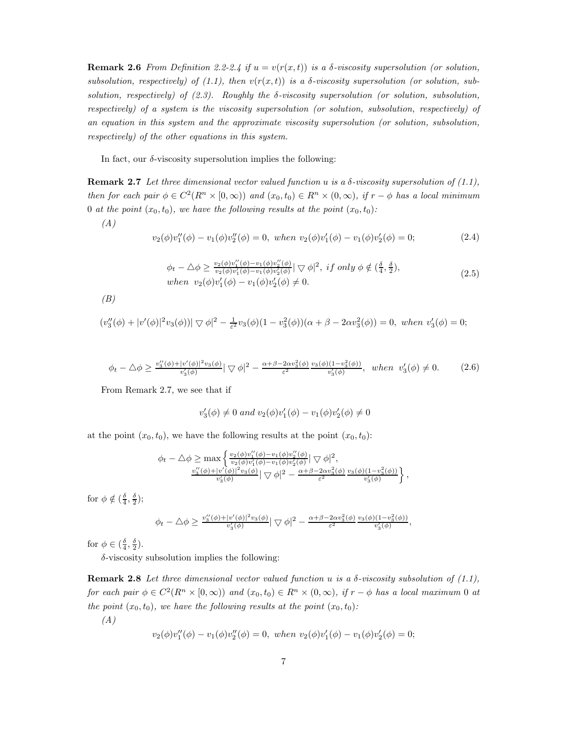**Remark 2.6** From Definition 2.2-2.4 if  $u = v(r(x,t))$  is a  $\delta$ -viscosity supersolution (or solution, subsolution, respectively) of (1.1), then  $v(r(x, t))$  is a  $\delta$ -viscosity supersolution (or solution, subsolution, respectively) of  $(2.3)$ . Roughly the  $\delta$ -viscosity supersolution (or solution, subsolution, respectively) of a system is the viscosity supersolution (or solution, subsolution, respectively) of an equation in this system and the approximate viscosity supersolution (or solution, subsolution, respectively) of the other equations in this system.

In fact, our  $\delta$ -viscosity supersolution implies the following:

**Remark 2.7** Let three dimensional vector valued function u is a  $\delta$ -viscosity supersolution of (1.1), then for each pair  $\phi \in C^2(R^n \times [0,\infty))$  and  $(x_0,t_0) \in R^n \times (0,\infty)$ , if  $r-\phi$  has a local minimum 0 at the point  $(x_0, t_0)$ , we have the following results at the point  $(x_0, t_0)$ :

(A)

$$
v_2(\phi)v_1''(\phi) - v_1(\phi)v_2''(\phi) = 0, \text{ when } v_2(\phi)v_1'(\phi) - v_1(\phi)v_2'(\phi) = 0;
$$
 (2.4)

$$
\phi_t - \Delta \phi \ge \frac{v_2(\phi)v_1''(\phi) - v_1(\phi)v_2''(\phi)}{v_2(\phi)v_1'(\phi) - v_1(\phi)v_2'(\phi)} \quad \nabla \phi \mid^2, \text{ if only } \phi \notin (\frac{\delta}{4}, \frac{\delta}{2}),
$$
\n
$$
\text{when } v_2(\phi)v_1'(\phi) - v_1(\phi)v_2'(\phi) \ne 0. \tag{2.5}
$$

 $(B)$ 

$$
(v_3''(\phi) + |v'(\phi)|^2 v_3(\phi))|\nabla \phi|^2 - \frac{1}{\varepsilon^2} v_3(\phi)(1 - v_3^2(\phi))(\alpha + \beta - 2\alpha v_3^2(\phi)) = 0, \text{ when } v_3'(\phi) = 0;
$$

$$
\phi_t - \Delta \phi \ge \frac{v_3''(\phi) + |v'(\phi)|^2 v_3(\phi)}{v_3'(\phi)} |\nabla \phi|^2 - \frac{\alpha + \beta - 2\alpha v_3^2(\phi)}{\varepsilon^2} \frac{v_3(\phi)(1 - v_3^2(\phi))}{v_3'(\phi)}, \text{ when } v_3'(\phi) \ne 0. \tag{2.6}
$$

From Remark 2.7, we see that if

$$
v'_3(\phi) \neq 0
$$
 and  $v_2(\phi)v'_1(\phi) - v_1(\phi)v'_2(\phi) \neq 0$ 

at the point  $(x_0, t_0)$ , we have the following results at the point  $(x_0, t_0)$ :

$$
\phi_t - \Delta \phi \ge \max \left\{ \frac{v_2(\phi)v_1''(\phi) - v_1(\phi)v_2'(\phi)}{v_2(\phi)v_1'(\phi) - v_1(\phi)v_2'(\phi)} \middle| \nabla \phi \right|^2, \n\frac{v_3''(\phi) + |v'(\phi)|^2 v_3(\phi)}{v_3'(\phi)} \middle| \nabla \phi \right|^2 - \frac{\alpha + \beta - 2\alpha v_3^2(\phi)}{\varepsilon^2} \frac{v_3(\phi)(1 - v_3^2(\phi))}{v_3'(\phi)} \right\},
$$

for  $\phi \notin (\frac{\delta}{4}, \frac{\delta}{2});$ 

$$
\phi_t - \triangle \phi \ge \frac{v_3''(\phi) + |v'(\phi)|^2 v_3(\phi)}{v_3'(\phi)} |\nabla \phi|^2 - \frac{\alpha + \beta - 2\alpha v_3^2(\phi)}{\varepsilon^2} \frac{v_3(\phi)(1 - v_3^2(\phi))}{v_3'(\phi)},
$$

for  $\phi \in (\frac{\delta}{4}, \frac{\delta}{2})$ .

 $\delta$ -viscosity subsolution implies the following:

Remark 2.8 Let three dimensional vector valued function u is a  $\delta$ -viscosity subsolution of (1.1), for each pair  $\phi \in C^2(R^n \times [0,\infty))$  and  $(x_0,t_0) \in R^n \times (0,\infty)$ , if  $r-\phi$  has a local maximum 0 at the point  $(x_0, t_0)$ , we have the following results at the point  $(x_0, t_0)$ :

$$
(A)
$$

$$
v_2(\phi)v_1''(\phi) - v_1(\phi)v_2''(\phi) = 0, when v_2(\phi)v_1'(\phi) - v_1(\phi)v_2'(\phi) = 0;
$$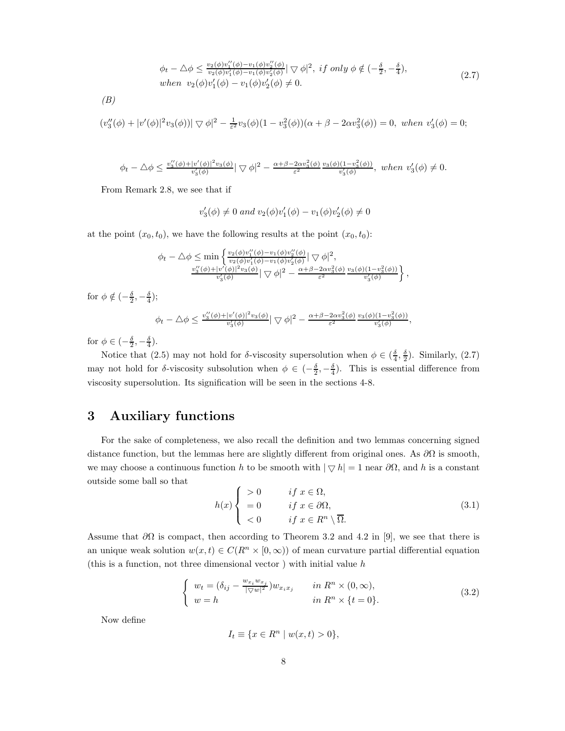$$
\phi_t - \Delta \phi \le \frac{v_2(\phi)v_1''(\phi) - v_1(\phi)v_2''(\phi)}{v_2(\phi)v_1'(\phi) - v_1(\phi)v_2'(\phi)} \quad |\nabla \phi|^2, \text{ if only } \phi \notin (-\frac{\delta}{2}, -\frac{\delta}{4}),
$$
\n
$$
\text{when } v_2(\phi)v_1'(\phi) - v_1(\phi)v_2'(\phi) \ne 0.
$$
\n
$$
(2.7)
$$

$$
(B)
$$

$$
(v_3''(\phi) + |v'(\phi)|^2 v_3(\phi))|\nabla \phi|^2 - \frac{1}{\varepsilon^2} v_3(\phi)(1 - v_3^2(\phi))(\alpha + \beta - 2\alpha v_3^2(\phi)) = 0, \text{ when } v_3'(\phi) = 0;
$$

$$
\phi_t - \triangle \phi \le \frac{v_3''(\phi) + |v'(\phi)|^2 v_3(\phi)}{v_3'(\phi)} |\nabla \phi|^2 - \frac{\alpha + \beta - 2\alpha v_3^2(\phi)}{\varepsilon^2} \frac{v_3(\phi)(1 - v_3^2(\phi))}{v_3'(\phi)}, \text{ when } v_3'(\phi) \ne 0.
$$

From Remark 2.8, we see that if

$$
v'_3(\phi) \neq 0
$$
 and  $v_2(\phi)v'_1(\phi) - v_1(\phi)v'_2(\phi) \neq 0$ 

at the point  $(x_0, t_0)$ , we have the following results at the point  $(x_0, t_0)$ :

$$
\phi_t - \triangle \phi \le \min \left\{ \frac{v_2(\phi)v_1''(\phi) - v_1(\phi)v_2''(\phi)}{v_2(\phi)v_1'(\phi) - v_1(\phi)v_2'(\phi)} \middle| \nabla \phi \right|^2, \n\frac{v_3''(\phi) + |v'(\phi)|^2 v_3(\phi)}{v_3'(\phi)} \middle| \nabla \phi \right\}^2 - \frac{\alpha + \beta - 2\alpha v_3^2(\phi)}{\varepsilon^2} \frac{v_3(\phi)(1 - v_3^2(\phi))}{v_3'(\phi)} \left\},
$$

for  $\phi \notin \left(-\frac{\delta}{2}, -\frac{\delta}{4}\right);$ 

$$
\phi_t - \triangle \phi \le \frac{v_3''(\phi) + |v'(\phi)|^2 v_3(\phi)}{v_3'(\phi)} |\nabla \phi|^2 - \frac{\alpha + \beta - 2\alpha v_3^2(\phi)}{\varepsilon^2} \frac{v_3(\phi)(1 - v_3^2(\phi))}{v_3'(\phi)},
$$

for  $\phi \in \left(-\frac{\delta}{2}, -\frac{\delta}{4}\right)$ .

Notice that (2.5) may not hold for  $\delta$ -viscosity supersolution when  $\phi \in (\frac{\delta}{4}, \frac{\delta}{2})$ . Similarly, (2.7) may not hold for  $\delta$ -viscosity subsolution when  $\phi \in (-\frac{\delta}{2}, -\frac{\delta}{4})$ . This is essential difference from viscosity supersolution. Its signification will be seen in the sections 4-8.

### 3 Auxiliary functions

For the sake of completeness, we also recall the definition and two lemmas concerning signed distance function, but the lemmas here are slightly different from original ones. As  $\partial\Omega$  is smooth, we may choose a continuous function h to be smooth with  $|\nabla h| = 1$  near  $\partial\Omega$ , and h is a constant outside some ball so that

$$
h(x) \begin{cases} > 0 & \text{if } x \in \Omega, \\ = 0 & \text{if } x \in \partial\Omega, \\ < 0 & \text{if } x \in R^n \setminus \overline{\Omega}. \end{cases} \tag{3.1}
$$

Assume that  $\partial\Omega$  is compact, then according to Theorem 3.2 and 4.2 in [9], we see that there is an unique weak solution  $w(x, t) \in C(R^n \times [0, \infty))$  of mean curvature partial differential equation (this is a function, not three dimensional vector) with initial value  $h$ 

$$
\begin{cases}\nw_t = (\delta_{ij} - \frac{w_{x_i}w_{x_j}}{|\nabla w|^2})w_{x_ix_j} & \text{in } R^n \times (0, \infty), \\
w = h & \text{in } R^n \times \{t = 0\}.\n\end{cases}
$$
\n(3.2)

Now define

$$
I_t \equiv \{ x \in R^n \mid w(x, t) > 0 \},\
$$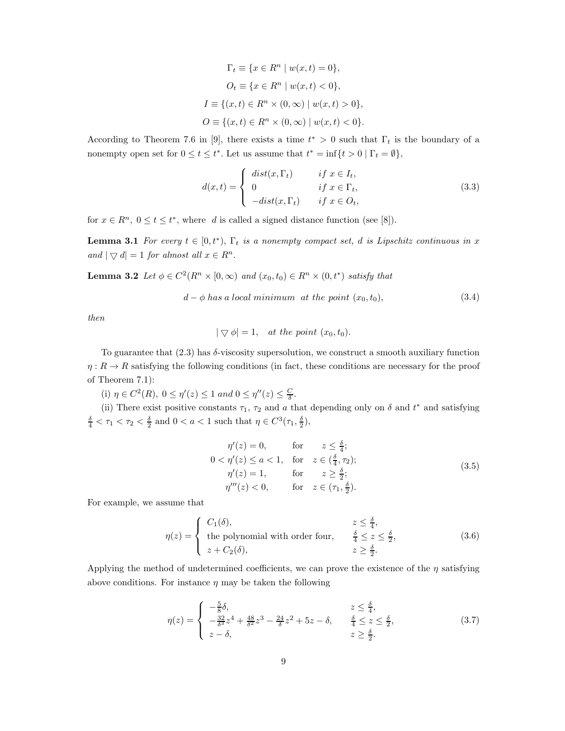$$
\Gamma_t \equiv \{ x \in R^n \mid w(x, t) = 0 \},
$$
  
\n
$$
O_t \equiv \{ x \in R^n \mid w(x, t) < 0 \},
$$
  
\n
$$
I \equiv \{ (x, t) \in R^n \times (0, \infty) \mid w(x, t) > 0 \},
$$
  
\n
$$
O \equiv \{ (x, t) \in R^n \times (0, \infty) \mid w(x, t) < 0 \}.
$$

According to Theorem 7.6 in [9], there exists a time  $t^* > 0$  such that  $\Gamma_t$  is the boundary of a nonempty open set for  $0 \le t \le t^*$ . Let us assume that  $t^* = \inf\{t > 0 \mid \Gamma_t = \emptyset\}$ ,

$$
d(x,t) = \begin{cases} dist(x,\Gamma_t) & \text{if } x \in I_t, \\ 0 & \text{if } x \in \Gamma_t, \\ -dist(x,\Gamma_t) & \text{if } x \in O_t, \end{cases}
$$
 (3.3)

for  $x \in R^n$ ,  $0 \le t \le t^*$ , where d is called a signed distance function (see [8]).

**Lemma 3.1** For every  $t \in [0, t^*), \Gamma_t$  is a nonempty compact set, d is Lipschitz continuous in x and  $|\nabla d| = 1$  for almost all  $x \in R^n$ .

**Lemma 3.2** Let  $\phi \in C^2(R^n \times [0,\infty))$  and  $(x_0,t_0) \in R^n \times (0,t^*)$  satisfy that

$$
d - \phi \text{ has a local minimum at the point } (x_0, t_0), \tag{3.4}
$$

then

$$
|\bigtriangledown \phi| = 1, \quad at the point \ (x_0, t_0).
$$

To guarantee that  $(2.3)$  has  $\delta$ -viscosity supersolution, we construct a smooth auxiliary function  $\eta: R \to R$  satisfying the following conditions (in fact, these conditions are necessary for the proof of Theorem 7.1):

(i)  $\eta \in C^2(R)$ ,  $0 \le \eta'(z) \le 1$  and  $0 \le \eta''(z) \le \frac{C}{\delta}$ .

(ii) There exist positive constants  $\tau_1$ ,  $\tau_2$  and a that depending only on  $\delta$  and  $t^*$  and satisfying  $\frac{\delta}{4} < \tau_1 < \tau_2 < \frac{\delta}{2}$  and  $0 < a < 1$  such that  $\eta \in C^3(\tau_1, \frac{\delta}{2}),$ 

$$
\eta'(z) = 0, \qquad \text{for} \qquad z \le \frac{\delta}{4};
$$
  
\n
$$
0 < \eta'(z) \le a < 1, \quad \text{for} \quad z \in \left(\frac{\delta}{4}, \tau_2\right);
$$
  
\n
$$
\eta'(z) = 1, \qquad \text{for} \qquad z \ge \frac{\delta}{2};
$$
  
\n
$$
\eta'''(z) < 0, \qquad \text{for} \quad z \in \left(\tau_1, \frac{\delta}{2}\right).
$$
\n(3.5)

For example, we assume that

$$
\eta(z) = \begin{cases}\nC_1(\delta), & z \leq \frac{\delta}{4}, \\
\text{ the polynomial with order four,} & \frac{\delta}{4} \leq z \leq \frac{\delta}{2}, \\
z + C_2(\delta), & z \geq \frac{\delta}{2}.\n\end{cases}
$$
\n(3.6)

Applying the method of undetermined coefficients, we can prove the existence of the  $\eta$  satisfying above conditions. For instance  $\eta$  may be taken the following

$$
\eta(z) = \begin{cases}\n-\frac{5}{8}\delta, & z \le \frac{\delta}{4}, \\
-\frac{32}{8}z^4 + \frac{48}{8}z^3 - \frac{24}{8}z^2 + 5z - \delta, & \frac{\delta}{4} \le z \le \frac{\delta}{2}, \\
z - \delta, & z \ge \frac{\delta}{2}.\n\end{cases}
$$
\n(3.7)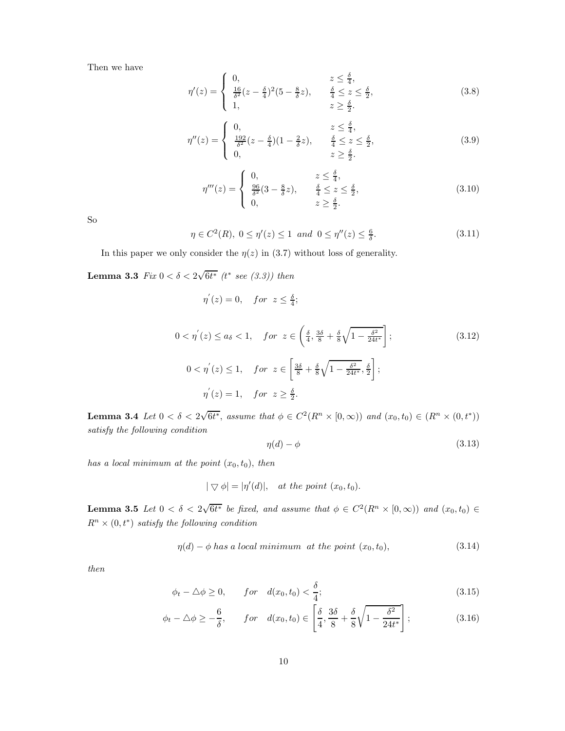Then we have

$$
\eta'(z) = \begin{cases}\n0, & z \le \frac{\delta}{4}, \\
\frac{16}{\delta^2}(z - \frac{\delta}{4})^2(5 - \frac{8}{\delta}z), & \frac{\delta}{4} \le z \le \frac{\delta}{2}, \\
1, & z \ge \frac{\delta}{2}.\n\end{cases}
$$
\n(3.8)

$$
\eta''(z) = \begin{cases} 0, & z \le \frac{\delta}{4}, \\ \frac{192}{\delta^2}(z - \frac{\delta}{4})(1 - \frac{2}{\delta}z), & \frac{\delta}{4} \le z \le \frac{\delta}{2}, \\ 0, & z \ge \frac{\delta}{2}. \end{cases}
$$
(3.9)

$$
\eta'''(z) = \begin{cases} 0, & z \le \frac{\delta}{4}, \\ \frac{96}{\delta^2}(3 - \frac{8}{\delta}z), & \frac{\delta}{4} \le z \le \frac{\delta}{2}, \\ 0, & z \ge \frac{\delta}{2}. \end{cases}
$$
(3.10)

So

$$
\eta \in C^2(R), 0 \le \eta'(z) \le 1 \text{ and } 0 \le \eta''(z) \le \frac{6}{\delta}.
$$
\n(3.11)

In this paper we only consider the  $\eta(z)$  in (3.7) without loss of generality.

**Lemma 3.3** Fix  $0 < \delta < 2\sqrt{6t^*}$  (t\* see (3.3)) then

$$
\eta^{'}(z) = 0, \quad for \ z \leq \frac{\delta}{4};
$$

$$
0 < \eta'(z) \le a_{\delta} < 1, \quad \text{for } z \in \left(\frac{\delta}{4}, \frac{3\delta}{8} + \frac{\delta}{8}\sqrt{1 - \frac{\delta^2}{24t^*}}\right];
$$
\n
$$
0 < \eta'(z) \le 1, \quad \text{for } z \in \left[\frac{3\delta}{8} + \frac{\delta}{8}\sqrt{1 - \frac{\delta^2}{24t^*}}, \frac{\delta}{2}\right];
$$
\n
$$
\eta'(z) = 1, \quad \text{for } z \ge \frac{\delta}{2}.
$$
\n
$$
(3.12)
$$

**Lemma 3.4** Let  $0 < \delta < 2\sqrt{6t^*}$ , assume that  $\phi \in C^2(R^n \times [0,\infty))$  and  $(x_0,t_0) \in (R^n \times (0,t^*))$ satisfy the following condition

$$
\eta(d) - \phi \tag{3.13}
$$

has a local minimum at the point  $(x_0, t_0)$ , then

$$
|\bigtriangledown \phi| = |\eta'(d)|, \quad at the point \ (x_0, t_0).
$$

**Lemma 3.5** Let  $0 < \delta < 2\sqrt{6t^*}$  be fixed, and assume that  $\phi \in C^2(R^n \times [0,\infty))$  and  $(x_0,t_0) \in$  $R^n \times (0,t^*)$  satisfy the following condition

$$
\eta(d) - \phi \text{ has a local minimum at the point } (x_0, t_0), \tag{3.14}
$$

then

$$
\phi_t - \Delta \phi \ge 0, \qquad for \quad d(x_0, t_0) < \frac{\delta}{4};\tag{3.15}
$$

$$
\phi_t - \Delta \phi \ge -\frac{6}{\delta}, \qquad \text{for} \quad d(x_0, t_0) \in \left[\frac{\delta}{4}, \frac{3\delta}{8} + \frac{\delta}{8}\sqrt{1 - \frac{\delta^2}{24t^*}}\right];\tag{3.16}
$$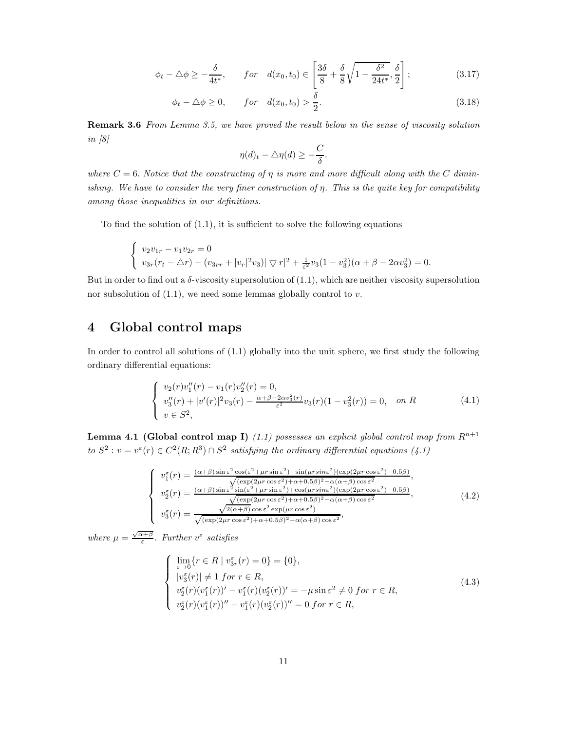$$
\phi_t - \triangle \phi \ge -\frac{\delta}{4t^*}, \qquad \text{for} \quad d(x_0, t_0) \in \left[\frac{3\delta}{8} + \frac{\delta}{8}\sqrt{1 - \frac{\delta^2}{24t^*}}, \frac{\delta}{2}\right];\tag{3.17}
$$

$$
\phi_t - \Delta \phi \ge 0, \qquad for \quad d(x_0, t_0) > \frac{\delta}{2}.
$$
\n(3.18)

Remark 3.6 From Lemma 3.5, we have proved the result below in the sense of viscosity solution in  $\left[8\right]$ 

$$
\eta(d)_t - \triangle \eta(d) \ge -\frac{C}{\delta}.
$$

where  $C = 6$ . Notice that the constructing of  $\eta$  is more and more difficult along with the C diminishing. We have to consider the very finer construction of  $\eta$ . This is the quite key for compatibility among those inequalities in our definitions.

To find the solution of  $(1.1)$ , it is sufficient to solve the following equations

$$
\begin{cases}\nv_2v_{1r} - v_1v_{2r} = 0 \\
v_{3r}(r_t - \Delta r) - (v_{3rr} + |v_r|^2v_3)| \nabla r|^2 + \frac{1}{\varepsilon^2}v_3(1 - v_3^2)(\alpha + \beta - 2\alpha v_3^2) = 0.\n\end{cases}
$$

But in order to find out a  $\delta$ -viscosity supersolution of  $(1.1)$ , which are neither viscosity supersolution nor subsolution of  $(1.1)$ , we need some lemmas globally control to v.

#### 4 Global control maps

In order to control all solutions of (1.1) globally into the unit sphere, we first study the following ordinary differential equations:

$$
\begin{cases}\nv_2(r)v_1''(r) - v_1(r)v_2''(r) = 0, \\
v_3''(r) + |v'(r)|^2 v_3(r) - \frac{\alpha + \beta - 2\alpha v_3^2(r)}{\varepsilon^2} v_3(r)(1 - v_3^2(r)) = 0, \quad on \ R \\
v \in S^2,\n\end{cases} \tag{4.1}
$$

**Lemma 4.1 (Global control map I)** (1.1) possesses an explicit global control map from  $R^{n+1}$ to  $S^2$ :  $v = v^{\epsilon}(r) \in C^2(R; R^3) \cap S^2$  satisfying the ordinary differential equations (4.1)

$$
\begin{cases}\nv_1^{\varepsilon}(r) = \frac{(\alpha+\beta)\sin\varepsilon^2\cos(\varepsilon^2+\mu r\sin\varepsilon^2)-\sin(\mu r\sin\varepsilon^2)(\exp(2\mu r\cos\varepsilon^2)-0.5\beta)}{\sqrt{(\exp(2\mu r\cos\varepsilon^2)+\alpha+0.5\beta)^2-\alpha(\alpha+\beta)\cos\varepsilon^2}},\\v_2^{\varepsilon}(r) = \frac{(\alpha+\beta)\sin\varepsilon^2\sin(\varepsilon^2+\mu r\sin\varepsilon^2)+\cos(\mu r\sin\varepsilon^2)(\exp(2\mu r\cos\varepsilon^2)-0.5\beta)}{\sqrt{(\exp(2\mu r\cos\varepsilon^2)+\alpha+0.5\beta)^2-\alpha(\alpha+\beta)\cos\varepsilon^2}},\\v_3^{\varepsilon}(r) = \frac{\sqrt{2(\alpha+\beta)}\cos\varepsilon^2\exp(\mu r\cos\varepsilon^2)}{\sqrt{(\exp(2\mu r\cos\varepsilon^2)+\alpha+0.5\beta)^2-\alpha(\alpha+\beta)\cos\varepsilon^2}},\n\end{cases} (4.2)
$$

where  $\mu = \frac{\sqrt{\alpha + \beta}}{\varepsilon}$ . Further  $v^{\varepsilon}$  satisfies

$$
\begin{cases}\n\lim_{\varepsilon \to 0} \{r \in R \mid v_{3r}^{\varepsilon}(r) = 0\} = \{0\}, \\
|v_{3}^{\varepsilon}(r)| \neq 1 \text{ for } r \in R, \\
v_{2}^{\varepsilon}(r)(v_{1}^{\varepsilon}(r))' - v_{1}^{\varepsilon}(r)(v_{2}^{\varepsilon}(r))' = -\mu \sin \varepsilon^{2} \neq 0 \text{ for } r \in R, \\
v_{2}^{\varepsilon}(r)(v_{1}^{\varepsilon}(r))'' - v_{1}^{\varepsilon}(r)(v_{2}^{\varepsilon}(r))'' = 0 \text{ for } r \in R,\n\end{cases}
$$
\n(4.3)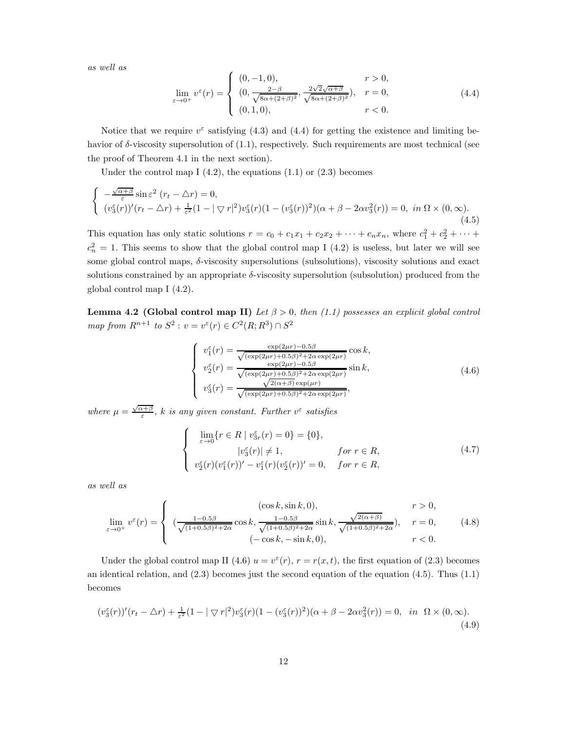as well as

$$
\lim_{\varepsilon \to 0^+} v^{\varepsilon}(r) = \begin{cases} (0, -1, 0), & r > 0, \\ (0, \frac{2-\beta}{\sqrt{8\alpha + (2+\beta)^2}}, \frac{2\sqrt{2}\sqrt{\alpha+\beta}}{\sqrt{8\alpha + (2+\beta)^2}}), & r = 0, \\ (0, 1, 0), & r < 0. \end{cases}
$$
(4.4)

Notice that we require  $v^{\epsilon}$  satisfying (4.3) and (4.4) for getting the existence and limiting behavior of  $\delta$ -viscosity supersolution of  $(1.1)$ , respectively. Such requirements are most technical (see the proof of Theorem 4.1 in the next section).

Under the control map I  $(4.2)$ , the equations  $(1.1)$  or  $(2.3)$  becomes

$$
\begin{cases}\n-\frac{\sqrt{\alpha+\beta}}{\varepsilon}\sin\varepsilon^2\ (r_t - \Delta r) = 0, \\
(v_3^{\varepsilon}(r))'(r_t - \Delta r) + \frac{1}{\varepsilon^2}(1 - |\nabla r|^2)v_3^{\varepsilon}(r)(1 - (v_3^{\varepsilon}(r))^2)(\alpha + \beta - 2\alpha v_3^2(r)) = 0, \text{ in } \Omega \times (0, \infty). \n\end{cases} (4.5)
$$

This equation has only static solutions  $r = c_0 + c_1x_1 + c_2x_2 + \cdots + c_nx_n$ , where  $c_1^2 + c_2^2 + \cdots$  $c_n^2 = 1$ . This seems to show that the global control map I (4.2) is useless, but later we will see some global control maps, δ-viscosity supersolutions (subsolutions), viscosity solutions and exact solutions constrained by an appropriate  $\delta$ -viscosity supersolution (subsolution) produced from the global control map I (4.2).

Lemma 4.2 (Global control map II) Let  $\beta > 0$ , then (1.1) possesses an explicit global control map from  $R^{n+1}$  to  $S^2$ :  $v = v^{\varepsilon}(r) \in C^2(R; R^3) \cap S^2$ 

$$
\begin{cases}\nv_1^{\varepsilon}(r) = \frac{\exp(2\mu r) - 0.5\beta}{\sqrt{(\exp(2\mu r) + 0.5\beta)^2 + 2\alpha \exp(2\mu r)}} \cos k, \\
v_2^{\varepsilon}(r) = \frac{\exp(2\mu r) - 0.5\beta}{\sqrt{(\exp(2\mu r) + 0.5\beta)^2 + 2\alpha \exp(2\mu r)}} \sin k, \\
v_3^{\varepsilon}(r) = \frac{\sqrt{2(\alpha + \beta)} \exp(\mu r)}{\sqrt{(\exp(2\mu r) + 0.5\beta)^2 + 2\alpha \exp(2\mu r)}},\n\end{cases} \tag{4.6}
$$

where  $\mu = \frac{\sqrt{\alpha+\beta}}{\varepsilon}$ , k is any given constant. Further  $v^{\varepsilon}$  satisfies

$$
\begin{cases}\n\lim_{\varepsilon \to 0} \{r \in R \mid v_{3r}^{\varepsilon}(r) = 0\} = \{0\}, \\
|v_{3}^{\varepsilon}(r)| \neq 1, & \text{for } r \in R, \\
v_{2}^{\varepsilon}(r)(v_{1}^{\varepsilon}(r))' - v_{1}^{\varepsilon}(r)(v_{2}^{\varepsilon}(r))' = 0, & \text{for } r \in R,\n\end{cases}
$$
\n(4.7)

as well as

$$
\lim_{\varepsilon \to 0^+} v^{\varepsilon}(r) = \begin{cases}\n(\cos k, \sin k, 0), & r > 0, \\
(\frac{1 - 0.5\beta}{\sqrt{(1 + 0.5\beta)^2 + 2\alpha}} \cos k, \frac{1 - 0.5\beta}{\sqrt{(1 + 0.5\beta)^2 + 2\alpha}} \sin k, \frac{\sqrt{2(\alpha + \beta)}}{\sqrt{(1 + 0.5\beta)^2 + 2\alpha}}), & r = 0, \\
(-\cos k, -\sin k, 0), & r < 0.\n\end{cases}
$$
\n(4.8)

Under the global control map II (4.6)  $u = v^{\epsilon}(r)$ ,  $r = r(x, t)$ , the first equation of (2.3) becomes an identical relation, and (2.3) becomes just the second equation of the equation (4.5). Thus (1.1) becomes

$$
(v_3^{\varepsilon}(r))'(r_t - \Delta r) + \frac{1}{\varepsilon^2} (1 - |\nabla r|^2) v_3^{\varepsilon}(r) (1 - (v_3^{\varepsilon}(r))^2) (\alpha + \beta - 2\alpha v_3^2(r)) = 0, \quad \text{in} \quad \Omega \times (0, \infty).
$$
\n(4.9)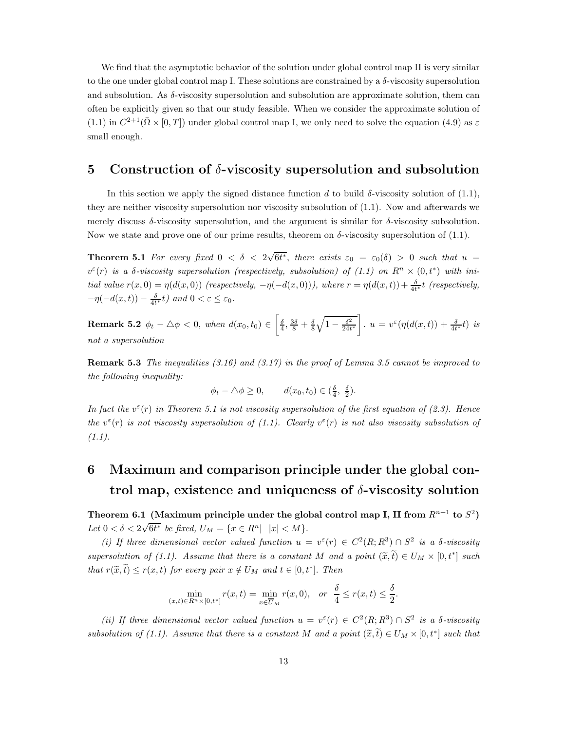We find that the asymptotic behavior of the solution under global control map II is very similar to the one under global control map I. These solutions are constrained by a δ-viscosity supersolution and subsolution. As δ-viscosity supersolution and subsolution are approximate solution, them can often be explicitly given so that our study feasible. When we consider the approximate solution of (1.1) in  $C^{2+1}(\bar{\Omega} \times [0,T])$  under global control map I, we only need to solve the equation (4.9) as  $\varepsilon$ small enough.

#### 5 Construction of  $\delta$ -viscosity supersolution and subsolution

In this section we apply the signed distance function d to build  $\delta$ -viscosity solution of (1.1), they are neither viscosity supersolution nor viscosity subsolution of (1.1). Now and afterwards we merely discuss  $\delta$ -viscosity supersolution, and the argument is similar for  $\delta$ -viscosity subsolution. Now we state and prove one of our prime results, theorem on  $\delta$ -viscosity supersolution of (1.1).

**Theorem 5.1** For every fixed  $0 < \delta < 2\sqrt{6t^*}$ , there exists  $\varepsilon_0 = \varepsilon_0(\delta) > 0$  such that  $u =$  $v^{\varepsilon}(r)$  is a  $\delta$ -viscosity supersolution (respectively, subsolution) of  $(1.1)$  on  $R^{n} \times (0,t^{*})$  with initial value  $r(x, 0) = \eta(d(x, 0))$  (respectively,  $-\eta(-d(x, 0))$ ), where  $r = \eta(d(x, t)) + \frac{\delta}{4t^*}t$  (respectively,  $-\eta(-d(x,t)) - \frac{\delta}{4t^*}t\hat{t}$  and  $0 < \varepsilon \leq \varepsilon_0$ .

**Remark 5.2**  $\phi_t - \Delta \phi < 0$ , when  $d(x_0, t_0) \in$  $\left[\frac{\delta}{4},\frac{3\delta}{8}+\frac{\delta}{8}\right]$  $\sqrt{1-\frac{\delta^2}{24t^*}}$ ׀ .  $u = v^{\varepsilon}(\eta(d(x,t)) + \frac{\delta}{4t^*}t)$  is not a supersolution

**Remark 5.3** The inequalities  $(3.16)$  and  $(3.17)$  in the proof of Lemma 3.5 cannot be improved to the following inequality:

$$
\phi_t - \triangle \phi \ge 0, \qquad d(x_0, t_0) \in (\frac{\delta}{4}, \frac{\delta}{2}).
$$

In fact the  $v^{\epsilon}(r)$  in Theorem 5.1 is not viscosity supersolution of the first equation of (2.3). Hence the  $v^{\varepsilon}(r)$  is not viscosity supersolution of (1.1). Clearly  $v^{\varepsilon}(r)$  is not also viscosity subsolution of  $(1.1).$ 

### 6 Maximum and comparison principle under the global control map, existence and uniqueness of  $\delta$ -viscosity solution

Theorem 6.1 (Maximum principle under the global control map I, II from  $R^{n+1}$  to  $S^2$ ) Let  $0 < \delta < 2\sqrt{6t^*}$  be fixed,  $U_M = \{x \in R^n | |x| < M\}.$ 

(i) If three dimensional vector valued function  $u = v^{\varepsilon}(r) \in C^2(R; R^3) \cap S^2$  is a  $\delta$ -viscosity supersolution of (1.1). Assume that there is a constant M and a point  $(\tilde{x}, t) \in U_M \times [0, t^*]$  such that  $r(\tilde{x}, t) \leq r(x, t)$  for every pair  $x \notin U_M$  and  $t \in [0, t^*]$ . Then

$$
\min_{(x,t)\in R^n\times[0,t^*]} r(x,t) = \min_{x\in \overline{U}_M} r(x,0), \quad \text{or} \quad \frac{\delta}{4} \le r(x,t) \le \frac{\delta}{2}.
$$

(ii) If three dimensional vector valued function  $u = v^{\epsilon}(r) \in C^2(R; R^3) \cap S^2$  is a  $\delta$ -viscosity subsolution of (1.1). Assume that there is a constant M and a point  $(\tilde{x}, t) \in U_M \times [0, t^*]$  such that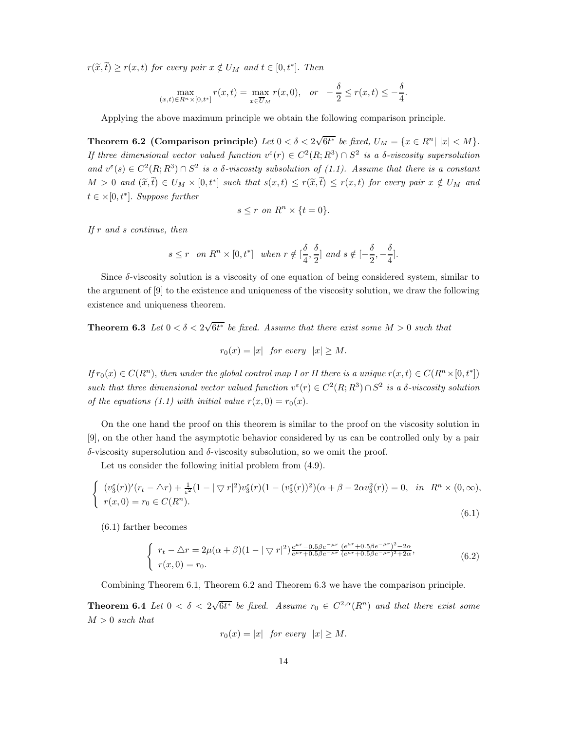$r(\widetilde{x}, t) \ge r(x, t)$  for every pair  $x \notin U_M$  and  $t \in [0, t^*]$ . Then

$$
\max_{(x,t)\in R^n\times[0,t^*]} r(x,t) = \max_{x\in \overline{U}_M} r(x,0), \quad or \quad -\frac{\delta}{2} \le r(x,t) \le -\frac{\delta}{4}.
$$

Applying the above maximum principle we obtain the following comparison principle.

Theorem 6.2 (Comparison principle) Let  $0 < \delta < 2\sqrt{6t^*}$  be fixed,  $U_M = \{x \in R^n | |x| < M\}$ . If three dimensional vector valued function  $v^{\epsilon}(r) \in C^2(R; R^3) \cap S^2$  is a  $\delta$ -viscosity supersolution and  $v^{\epsilon}(s) \in C^2(R; R^3) \cap S^2$  is a  $\delta$ -viscosity subsolution of (1.1). Assume that there is a constant  $M > 0$  and  $(\widetilde{x}, t) \in U_M \times [0, t^*]$  such that  $s(x, t) \leq r(\widetilde{x}, t) \leq r(x, t)$  for every pair  $x \notin U_M$  and  $t \in \times [0, t^*]$ . Suppose further

$$
s \le r \text{ on } R^n \times \{t = 0\}.
$$

If r and s continue, then

$$
s \leq r \quad on \ R^n \times [0,t^*] \quad when \ r \notin [\frac{\delta}{4},\frac{\delta}{2}] \ and \ s \notin [-\frac{\delta}{2},-\frac{\delta}{4}].
$$

Since δ-viscosity solution is a viscosity of one equation of being considered system, similar to the argument of [9] to the existence and uniqueness of the viscosity solution, we draw the following existence and uniqueness theorem.

**Theorem 6.3** Let  $0 < \delta < 2\sqrt{6t^*}$  be fixed. Assume that there exist some  $M > 0$  such that

$$
r_0(x) = |x| \quad \text{for every} \quad |x| \ge M.
$$

If  $r_0(x) \in C(R^n)$ , then under the global control map I or II there is a unique  $r(x,t) \in C(R^n \times [0,t^*])$ such that three dimensional vector valued function  $v^{\varepsilon}(r) \in C^2(R; R^3) \cap S^2$  is a  $\delta$ -viscosity solution of the equations (1.1) with initial value  $r(x, 0) = r_0(x)$ .

On the one hand the proof on this theorem is similar to the proof on the viscosity solution in [9], on the other hand the asymptotic behavior considered by us can be controlled only by a pair  $\delta$ -viscosity supersolution and  $\delta$ -viscosity subsolution, so we omit the proof.

Let us consider the following initial problem from (4.9).

$$
\begin{cases}\n(v_3^{\varepsilon}(r))'(r_t - \Delta r) + \frac{1}{\varepsilon^2} (1 - |\nabla r|^2) v_3^{\varepsilon}(r) (1 - (v_3^{\varepsilon}(r))^2)(\alpha + \beta - 2\alpha v_3^2(r)) = 0, & \text{in } R^n \times (0, \infty), \\
r(x, 0) = r_0 \in C(R^n).\n\end{cases}
$$
\n(6.1)

(6.1) farther becomes

$$
\begin{cases}\n r_t - \Delta r = 2\mu(\alpha + \beta)(1 - |\nabla r|^2) \frac{e^{\mu r} - 0.5\beta e^{-\mu r}}{e^{\mu r} + 0.5\beta e^{-\mu r}} \frac{(e^{\mu r} + 0.5\beta e^{-\mu r})^2 - 2\alpha}{(e^{\mu r} + 0.5\beta e^{-\mu r})^2 + 2\alpha}, \\
 r(x, 0) = r_0.\n\end{cases} \tag{6.2}
$$

Combining Theorem 6.1, Theorem 6.2 and Theorem 6.3 we have the comparison principle.

**Theorem 6.4** Let  $0 < \delta < 2\sqrt{6t^*}$  be fixed. Assume  $r_0 \in C^{2,\alpha}(R^n)$  and that there exist some  $M > 0$  such that

$$
r_0(x) = |x| \quad \text{for every} \quad |x| \ge M.
$$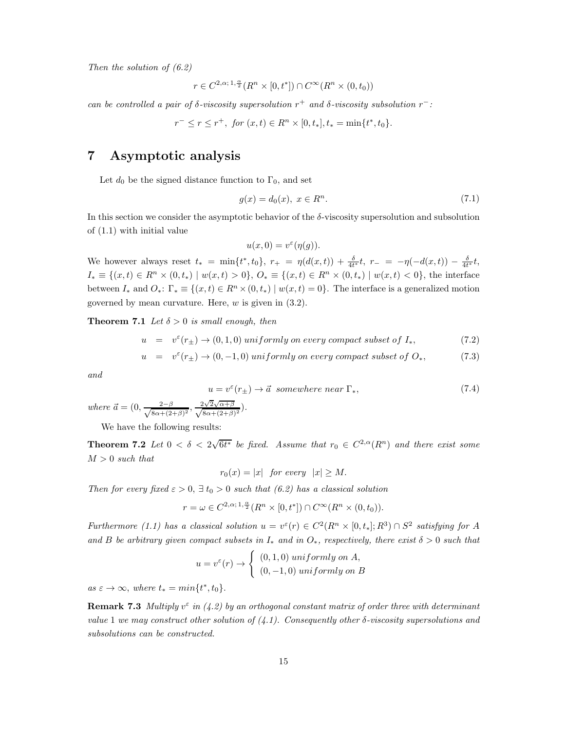Then the solution of (6.2)

$$
r\in C^{2,\alpha; \,1,\frac{\alpha}{2}}(R^n\times [0,t^*])\cap C^\infty(R^n\times (0,t_0))
$$

can be controlled a pair of  $\delta$ -viscosity supersolution  $r^+$  and  $\delta$ -viscosity subsolution  $r^-$ :

$$
r^- \le r \le r^+
$$
, for  $(x, t) \in R^n \times [0, t_*]$ ,  $t_* = \min\{t^*, t_0\}$ .

#### 7 Asymptotic analysis

Let  $d_0$  be the signed distance function to  $\Gamma_0$ , and set

$$
g(x) = d_0(x), \ x \in R^n. \tag{7.1}
$$

In this section we consider the asymptotic behavior of the  $\delta$ -viscosity supersolution and subsolution of (1.1) with initial value

$$
u(x,0) = v^{\varepsilon}(\eta(g)).
$$

We however always reset  $t_* = \min\{t^*, t_0\}, r_+ = \eta(d(x,t)) + \frac{\delta}{4t^*}t, r_- = -\eta(-d(x,t)) - \frac{\delta}{4t^*}t,$  $I_* \equiv \{(x, t) \in R^n \times (0, t_*) \mid w(x, t) > 0\}, O_* \equiv \{(x, t) \in R^n \times (0, t_*) \mid w(x, t) < 0\},\$ the interface between  $I_*$  and  $O_*: \Gamma_* \equiv \{(x, t) \in R^n \times (0, t_*) \mid w(x, t) = 0\}.$  The interface is a generalized motion governed by mean curvature. Here,  $w$  is given in  $(3.2)$ .

**Theorem 7.1** Let  $\delta > 0$  is small enough, then

$$
u = v^{\varepsilon}(r_{\pm}) \to (0, 1, 0) \; uniformly \; on \; every \; compact \; subset \; of \; I_*, \tag{7.2}
$$

$$
u = v^{\varepsilon}(r_{\pm}) \to (0, -1, 0) \; uniformly \; on \; every \; compact \; subset \; of \; O_*, \tag{7.3}
$$

and

$$
u = v^{\varepsilon}(r_{\pm}) \to \vec{a} \quad somewhere \quad near \; \Gamma_*, \tag{7.4}
$$

where  $\vec{a} = (0, \frac{2-\beta}{\sqrt{8\alpha+(2+\beta)^2}}, \frac{2\sqrt{2}\sqrt{\alpha+\beta}}{\sqrt{8\alpha+(2+\beta)^2}}).$ 

We have the following results:

**Theorem 7.2** Let  $0 < \delta < 2\sqrt{6t^*}$  be fixed. Assume that  $r_0 \in C^{2,\alpha}(R^n)$  and there exist some  $M > 0$  such that

 $r_0(x) = |x|$  for every  $|x| \geq M$ .

Then for every fixed  $\varepsilon > 0$ ,  $\exists t_0 > 0$  such that (6.2) has a classical solution

 $r = \omega \in C^{2,\alpha;1,\frac{\alpha}{2}}(R^n \times [0,t^*]) \cap C^{\infty}(R^n \times (0,t_0)).$ 

Furthermore (1.1) has a classical solution  $u = v^{\epsilon}(r) \in C^2(R^n \times [0, t_*]; R^3) \cap S^2$  satisfying for A and B be arbitrary given compact subsets in  $I_*$  and in  $O_*$ , respectively, there exist  $\delta > 0$  such that

$$
u = v^{\varepsilon}(r) \rightarrow \begin{cases} (0,1,0) \text{ uniformly on } A, \\ (0,-1,0) \text{ uniformly on } B \end{cases}
$$

 $as \varepsilon \to \infty$ , where  $t_* = min{t^*, t_0}.$ 

**Remark 7.3** Multiply  $v^{\epsilon}$  in (4.2) by an orthogonal constant matrix of order three with determinant value 1 we may construct other solution of  $(4.1)$ . Consequently other  $\delta$ -viscosity supersolutions and subsolutions can be constructed.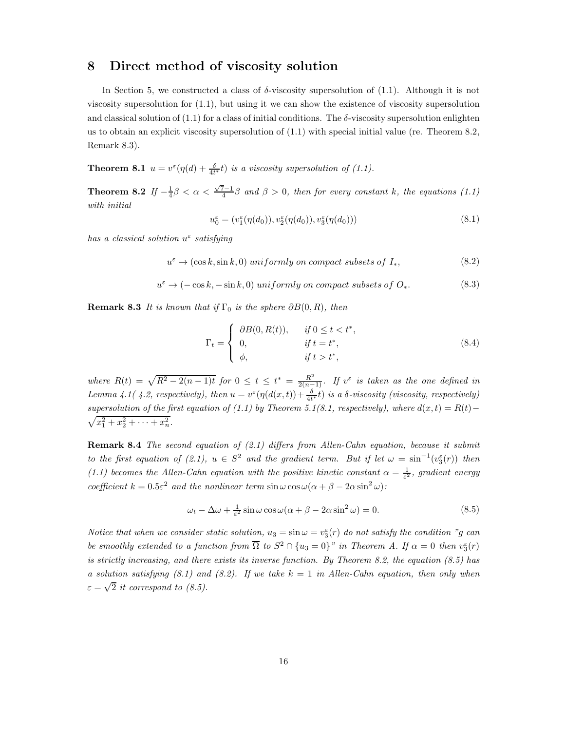#### 8 Direct method of viscosity solution

In Section 5, we constructed a class of  $\delta$ -viscosity supersolution of (1.1). Although it is not viscosity supersolution for (1.1), but using it we can show the existence of viscosity supersolution and classical solution of  $(1.1)$  for a class of initial conditions. The  $\delta$ -viscosity supersolution enlighten us to obtain an explicit viscosity supersolution of (1.1) with special initial value (re. Theorem 8.2, Remark 8.3).

**Theorem 8.1**  $u = v^{\epsilon}(\eta(d) + \frac{\delta}{4t^*}t)$  is a viscosity supersolution of (1.1).

**Theorem 8.2** If  $-\frac{1}{4}\beta < \alpha < \frac{\sqrt{7}-1}{4}\beta$  and  $\beta > 0$ , then for every constant k, the equations (1.1) with initial

$$
u_0^{\varepsilon} = (v_1^{\varepsilon}(\eta(d_0)), v_2^{\varepsilon}(\eta(d_0)), v_3^{\varepsilon}(\eta(d_0)))
$$
\n(8.1)

has a classical solution  $u^{\varepsilon}$  satisfying

$$
u^{\varepsilon} \to (\cos k, \sin k, 0) \; uniformly \; on \; compact \; subsets \; of \; I_*, \tag{8.2}
$$

$$
u^{\varepsilon} \to (-\cos k, -\sin k, 0) \; uniformly \; on \; compact \; subsets \; of \; O_*. \tag{8.3}
$$

**Remark 8.3** It is known that if  $\Gamma_0$  is the sphere  $\partial B(0, R)$ , then

$$
\Gamma_t = \begin{cases} \partial B(0, R(t)), & \text{if } 0 \le t < t^*, \\ 0, & \text{if } t = t^*, \\ \phi, & \text{if } t > t^*, \end{cases} \tag{8.4}
$$

where  $R(t) = \sqrt{R^2 - 2(n-1)t}$  for  $0 \le t \le t^* = \frac{R^2}{2(n-1)}$ . If  $v^{\varepsilon}$  is taken as the one defined in Lemma 4.1( 4.2, respectively), then  $u = v^{\varepsilon}(\eta(d(x,t)) + \frac{\delta}{4t^*}t)$  is a  $\delta$ -viscosity (viscosity, respectively) supersolution of the first equation of (1.1) by Theorem 5.1(8.1, respectively), where  $d(x,t) = R(t) - p$  $x_1^2 + x_2^2 + \cdots + x_n^2$ .

Remark 8.4 The second equation of (2.1) differs from Allen-Cahn equation, because it submit to the first equation of (2.1),  $u \in S^2$  and the gradient term. But if let  $\omega = \sin^{-1}(v_3^{\varepsilon}(r))$  then (1.1) becomes the Allen-Cahn equation with the positive kinetic constant  $\alpha = \frac{1}{\varepsilon^2}$ , gradient energy coefficient  $k = 0.5\varepsilon^2$  and the nonlinear term  $\sin \omega \cos \omega (\alpha + \beta - 2\alpha \sin^2 \omega)$ :

$$
\omega_t - \Delta \omega + \frac{1}{\varepsilon^2} \sin \omega \cos \omega (\alpha + \beta - 2\alpha \sin^2 \omega) = 0.
$$
 (8.5)

Notice that when we consider static solution,  $u_3 = \sin \omega = v_3^{\varepsilon}(r)$  do not satisfy the condition "g can be smoothly extended to a function from  $\overline{\Omega}$  to  $S^2 \cap \{u_3 = 0\}$ " in Theorem A. If  $\alpha = 0$  then  $v_3^{\varepsilon}(r)$ is strictly increasing, and there exists its inverse function. By Theorem 8.2, the equation  $(8.5)$  has a solution satisfying (8.1) and (8.2). If we take  $k = 1$  in Allen-Cahn equation, then only when  $\varepsilon = \sqrt{2}$  it correspond to (8.5).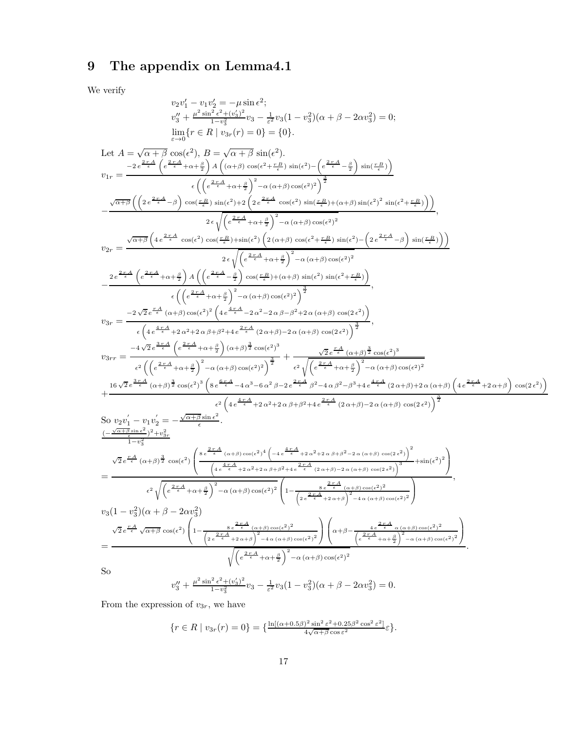## 9 The appendix on Lemma4.1

We verify

$$
\begin{array}{c} v_{2}v_{1}^{\prime}-v_{1}v_{2}^{\prime}=\rho_{1}\sin\epsilon^{2};\\ v_{3}^{\prime\prime}+p^{2}\sin^{2}\epsilon^{2};\\ v_{4}^{\prime\prime}+p^{2}\sin^{2}\epsilon^{2};\\ \lim_{r\rightarrow0}\{r\in R\mid v_{3r}(r)=0\}=(0),\\ \lim_{r\rightarrow0}\{r\in R\mid v_{3r}(r)=0\}=(0),\\ \int_{r\rightarrow0}^{r\in\mathcal{R}}\cos\epsilon^{2};\\ \int_{r\rightarrow0}^{r\in\mathcal{R}}\cos\epsilon^{2};\\ \int_{r\rightarrow0}^{r\in\mathcal{R}}\cos\epsilon^{2};\\ \int_{r\rightarrow0}^{r\in\mathcal{R}}\cos\epsilon^{2};\\ \int_{r\rightarrow0}^{r\in\mathcal{R}}\cos\epsilon^{2};\\ \int_{r\rightarrow0}^{r\in\mathcal{R}}\cos\epsilon^{2};\\ \int_{r\rightarrow0}^{r\in\mathcal{R}}\cos\epsilon^{2};\\ \int_{r\rightarrow0}^{r\in\mathcal{R}}\cos\epsilon^{2};\\ \int_{r\rightarrow0}^{r\in\mathcal{R}}\cos\epsilon^{2};\\ \int_{r\rightarrow0}^{r\in\mathcal{R}}\cos\epsilon^{2};\\ \int_{r\rightarrow0}^{r\in\mathcal{R}}\cos\epsilon^{2};\\ \int_{r\rightarrow0}^{r\in\mathcal{R}}\cos\epsilon^{2};\\ \int_{r\rightarrow0}^{r\in\mathcal{R}}\cos\epsilon^{2};\\ \int_{r\rightarrow0}^{r\in\mathcal{R}}\cos\epsilon^{2};\\ \int_{r\rightarrow0}^{r\in\mathcal{R}}\cos\epsilon^{2};\\ \int_{r\rightarrow0}^{r\in\mathcal{R}}\cos\epsilon^{2};\\ \int_{r\rightarrow0}^{r\in\mathcal{R}}\cos\epsilon^{2};\\ \int_{r\rightarrow0}^{r\in\mathcal{R}}\cos\epsilon^{2};\\ \int_{r\rightarrow0}^{r\in\mathcal{R}}\cos\epsilon^{2};\\ \int_{r\rightarrow0}^{r\in\mathcal{R}}\cos\epsilon^{2};\\ \int_{r\rightarrow0}^{r\in\mathcal{R}}\cos\epsilon^{2};\\ \int_{r\rightarrow0}^{r\in\mathcal{R}}\cos\epsilon^{2};\\ \int_{r\rightarrow0}^{r\in\mathcal{R}}\cos\epsilon^{2};\\ \int_{r\rightarrow0}^{r\in\
$$

From the expression of  $v_{3r}$ , we have

$$
\{r \in R \mid v_{3r}(r) = 0\} = \{\frac{\ln[(\alpha + 0.5\beta)^2 \sin^2 \varepsilon^2 + 0.25\beta^2 \cos^2 \varepsilon^2]}{4\sqrt{\alpha + \beta} \cos \varepsilon^2} \varepsilon\}.
$$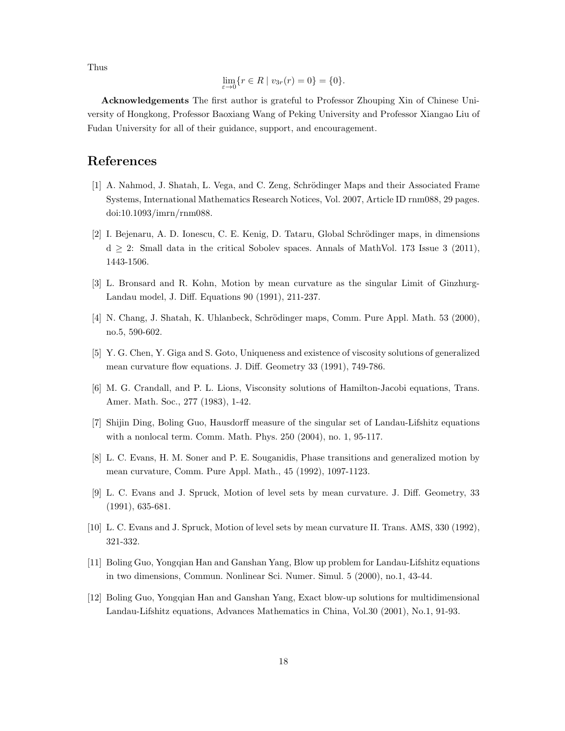Thus

$$
\lim_{\varepsilon \to 0} \{ r \in R \mid v_{3r}(r) = 0 \} = \{ 0 \}.
$$

Acknowledgements The first author is grateful to Professor Zhouping Xin of Chinese University of Hongkong, Professor Baoxiang Wang of Peking University and Professor Xiangao Liu of Fudan University for all of their guidance, support, and encouragement.

#### References

- [1] A. Nahmod, J. Shatah, L. Vega, and C. Zeng, Schrödinger Maps and their Associated Frame Systems, International Mathematics Research Notices, Vol. 2007, Article ID rnm088, 29 pages. doi:10.1093/imrn/rnm088.
- [2] I. Bejenaru, A. D. Ionescu, C. E. Kenig, D. Tataru, Global Schrödinger maps, in dimensions  $d \geq 2$ : Small data in the critical Sobolev spaces. Annals of MathVol. 173 Issue 3 (2011), 1443-1506.
- [3] L. Bronsard and R. Kohn, Motion by mean curvature as the singular Limit of Ginzhurg-Landau model, J. Diff. Equations 90 (1991), 211-237.
- [4] N. Chang, J. Shatah, K. Uhlanbeck, Schrödinger maps, Comm. Pure Appl. Math. 53 (2000), no.5, 590-602.
- [5] Y. G. Chen, Y. Giga and S. Goto, Uniqueness and existence of viscosity solutions of generalized mean curvature flow equations. J. Diff. Geometry 33 (1991), 749-786.
- [6] M. G. Crandall, and P. L. Lions, Visconsity solutions of Hamilton-Jacobi equations, Trans. Amer. Math. Soc., 277 (1983), 1-42.
- [7] Shijin Ding, Boling Guo, Hausdorff measure of the singular set of Landau-Lifshitz equations with a nonlocal term. Comm. Math. Phys. 250 (2004), no. 1, 95-117.
- [8] L. C. Evans, H. M. Soner and P. E. Souganidis, Phase transitions and generalized motion by mean curvature, Comm. Pure Appl. Math., 45 (1992), 1097-1123.
- [9] L. C. Evans and J. Spruck, Motion of level sets by mean curvature. J. Diff. Geometry, 33 (1991), 635-681.
- [10] L. C. Evans and J. Spruck, Motion of level sets by mean curvature II. Trans. AMS, 330 (1992), 321-332.
- [11] Boling Guo, Yongqian Han and Ganshan Yang, Blow up problem for Landau-Lifshitz equations in two dimensions, Commun. Nonlinear Sci. Numer. Simul. 5 (2000), no.1, 43-44.
- [12] Boling Guo, Yongqian Han and Ganshan Yang, Exact blow-up solutions for multidimensional Landau-Lifshitz equations, Advances Mathematics in China, Vol.30 (2001), No.1, 91-93.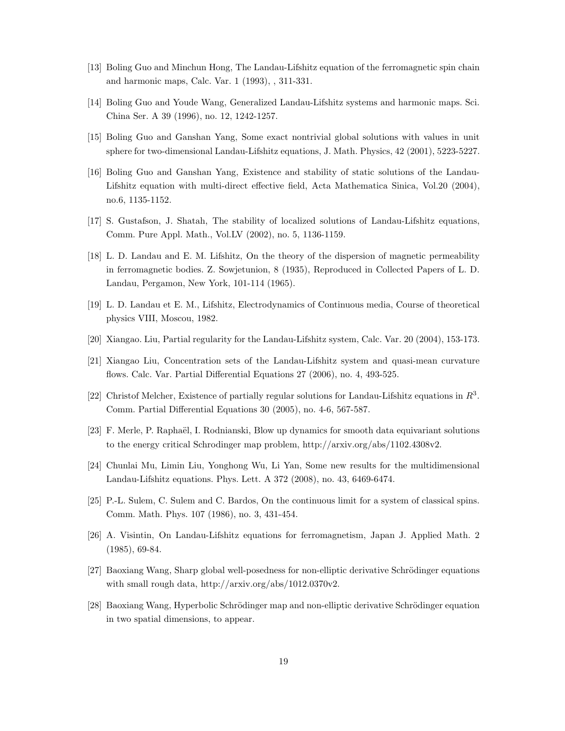- [13] Boling Guo and Minchun Hong, The Landau-Lifshitz equation of the ferromagnetic spin chain and harmonic maps, Calc. Var. 1 (1993), , 311-331.
- [14] Boling Guo and Youde Wang, Generalized Landau-Lifshitz systems and harmonic maps. Sci. China Ser. A 39 (1996), no. 12, 1242-1257.
- [15] Boling Guo and Ganshan Yang, Some exact nontrivial global solutions with values in unit sphere for two-dimensional Landau-Lifshitz equations, J. Math. Physics, 42 (2001), 5223-5227.
- [16] Boling Guo and Ganshan Yang, Existence and stability of static solutions of the Landau-Lifshitz equation with multi-direct effective field, Acta Mathematica Sinica, Vol.20 (2004), no.6, 1135-1152.
- [17] S. Gustafson, J. Shatah, The stability of localized solutions of Landau-Lifshitz equations, Comm. Pure Appl. Math., Vol.LV (2002), no. 5, 1136-1159.
- [18] L. D. Landau and E. M. Lifshitz, On the theory of the dispersion of magnetic permeability in ferromagnetic bodies. Z. Sowjetunion, 8 (1935), Reproduced in Collected Papers of L. D. Landau, Pergamon, New York, 101-114 (1965).
- [19] L. D. Landau et E. M., Lifshitz, Electrodynamics of Continuous media, Course of theoretical physics VIII, Moscou, 1982.
- [20] Xiangao. Liu, Partial regularity for the Landau-Lifshitz system, Calc. Var. 20 (2004), 153-173.
- [21] Xiangao Liu, Concentration sets of the Landau-Lifshitz system and quasi-mean curvature flows. Calc. Var. Partial Differential Equations 27 (2006), no. 4, 493-525.
- [22] Christof Melcher, Existence of partially regular solutions for Landau-Lifshitz equations in  $R^3$ . Comm. Partial Differential Equations 30 (2005), no. 4-6, 567-587.
- [23] F. Merle, P. Raphaël, I. Rodnianski, Blow up dynamics for smooth data equivariant solutions to the energy critical Schrodinger map problem, http://arxiv.org/abs/1102.4308v2.
- [24] Chunlai Mu, Limin Liu, Yonghong Wu, Li Yan, Some new results for the multidimensional Landau-Lifshitz equations. Phys. Lett. A 372 (2008), no. 43, 6469-6474.
- [25] P.-L. Sulem, C. Sulem and C. Bardos, On the continuous limit for a system of classical spins. Comm. Math. Phys. 107 (1986), no. 3, 431-454.
- [26] A. Visintin, On Landau-Lifshitz equations for ferromagnetism, Japan J. Applied Math. 2 (1985), 69-84.
- [27] Baoxiang Wang, Sharp global well-posedness for non-elliptic derivative Schrödinger equations with small rough data, http://arxiv.org/abs/1012.0370v2.
- [28] Baoxiang Wang, Hyperbolic Schrödinger map and non-elliptic derivative Schrödinger equation in two spatial dimensions, to appear.